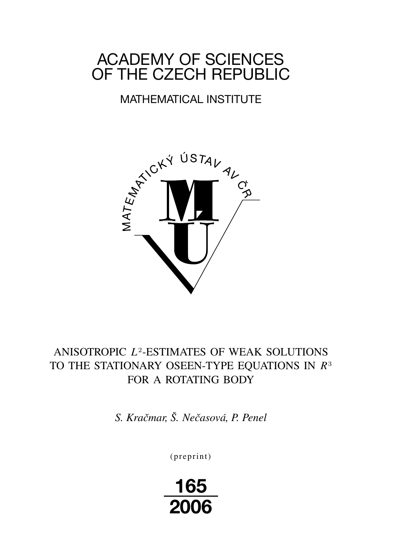# ACADEMY OF SCIENCES OF THE CZECH REPUBLIC

# MATHEMATICAL INSTITUTE



# ANISOTROPIC L<sup>2</sup>-ESTIMATES OF WEAK SOLUTIONS TO THE STATIONARY OSEEN-TYPE EQUATIONS IN  $R<sup>3</sup>$ FOR A ROTATING BODY

*S. Kračmar, Š. Nečasová, P. Penel*

(preprint)

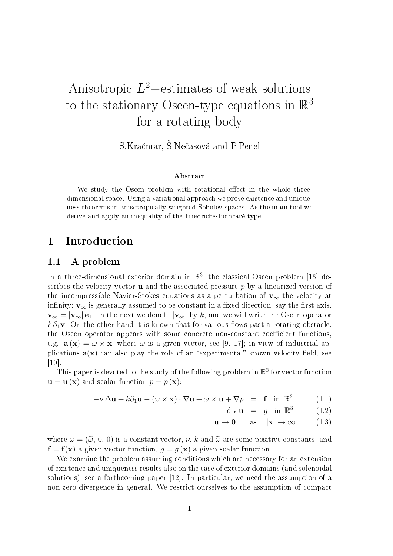# Anisotropic  $L^2$ -estimates of weak solutions to the stationary Oseen-type equations in  $\mathbb{R}^3$ for a rotating body

S.Kračmar, Š.Nečasová and P.Penel

#### Abstract

We study the Oseen problem with rotational effect in the whole threedimensional space. Using a variational approach we prove existence and uniqueness theorems in anisotropically weighted Sobolev spaces. As the main tool we derive and apply an inequality of the Friedrichs-Poincaré type.

### 1 Introduction

### 1.1 A problem

In a three-dimensional exterior domain in  $\mathbb{R}^3$ , the classical Oseen problem [18] describes the velocity vector  $\bf{u}$  and the associated pressure p by a linearized version of the incompressible Navier-Stokes equations as a perturbation of  $\mathbf{v}_{\infty}$  the velocity at infinity;  $v_{\infty}$  is generally assumed to be constant in a fixed direction, say the first axis,  $\mathbf{v}_{\infty} = |\mathbf{v}_{\infty}| \mathbf{e}_1$ . In the next we denote  $|\mathbf{v}_{\infty}|$  by k, and we will write the Oseen operator  $k \partial_1$ v. On the other hand it is known that for various flows past a rotating obstacle. the Oseen operator appears with some concrete non-constant coefficient functions. e.g.  $\mathbf{a}(\mathbf{x}) = \omega \times \mathbf{x}$ , where  $\omega$  is a given vector, see [9, 17]; in view of industrial applications  $a(x)$  can also play the role of an "experimental" known velocity field, see  $|10|$ .

This paper is devoted to the study of the following problem in  $\mathbb{R}^3$  for vector function  $\mathbf{u} = \mathbf{u}(\mathbf{x})$  and scalar function  $p = p(\mathbf{x})$ :

$$
-\nu \Delta \mathbf{u} + k \partial_1 \mathbf{u} - (\omega \times \mathbf{x}) \cdot \nabla \mathbf{u} + \omega \times \mathbf{u} + \nabla p = \mathbf{f} \text{ in } \mathbb{R}^3 \tag{1.1}
$$

$$
\operatorname{div} \mathbf{u} = g \quad \text{in } \mathbb{R}^3 \tag{1.2}
$$

$$
\mathbf{u} \to \mathbf{0} \qquad \text{as} \quad |\mathbf{x}| \to \infty \tag{1.3}
$$

where  $\omega = (\tilde{\omega}, 0, 0)$  is a constant vector,  $\nu$ , k and  $\tilde{\omega}$  are some positive constants, and  $f = f(x)$  a given vector function,  $g = g(x)$  a given scalar function.

We examine the problem assuming conditions which are necessary for an extension of existence and uniqueness results also on the case of exterior domains (and solenoidal solutions), see a forthcoming paper [12]. In particular, we need the assumption of a non-zero divergence in general. We restrict ourselves to the assumption of compact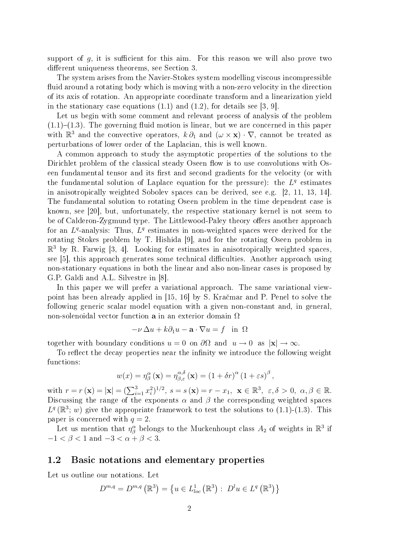support of  $g$ , it is sufficient for this aim. For this reason we will also prove two different uniqueness theorems, see Section 3.

The system arises from the Navier-Stokes system modelling viscous incompressible fluid around a rotating body which is moving with a non-zero velocity in the direction of its axis of rotation. An appropriate coordinate transform and a linearization yield in the stationary case equations  $(1.1)$  and  $(1.2)$ , for details see [3, 9].

Let us begin with some comment and relevant process of analysis of the problem  $(1.1)-(1.3)$ . The governing fluid motion is linear, but we are concerned in this paper with  $\mathbb{R}^3$  and the convective operators,  $k \partial_1$  and  $(\omega \times \mathbf{x}) \cdot \nabla$ , cannot be treated as perturbations of lower order of the Laplacian, this is well known.

A common approach to study the asymptotic properties of the solutions to the Dirichlet problem of the classical steady Oseen flow is to use convolutions with Oseen fundamental tensor and its first and second gradients for the velocity (or with the fundamental solution of Laplace equation for the pressure): the  $L^q$  estimates in anisotropically weighted Sobolev spaces can be derived, see e.g. [2, 11, 13, 14]. The fundamental solution to rotating Oseen problem in the time dependent case is known, see [20], but, unfortunately, the respective stationary kernel is not seem to be of Calderon-Zygmund type. The Littlewood-Paley theory offers another approach for an  $L<sup>q</sup>$ -analysis: Thus,  $L<sup>q</sup>$  estimates in non-weighted spaces were derived for the rotating Stokes problem by T. Hishida [9], and for the rotating Oseen problem in  $\mathbb{R}^3$  by R. Farwig [3, 4]. Looking for estimates in anisotropically weighted spaces, see  $[5]$ , this approach generates some technical difficulties. Another approach using non-stationary equations in both the linear and also non-linear cases is proposed by G.P. Galdi and A.L. Silvestre in [8].

In this paper we will prefer a variational approach. The same variational viewpoint has been already applied in [15, 16] by S. Kra£mar and P. Penel to solve the following generic scalar model equation with a given non-constant and, in general, non-solenoidal vector function **a** in an exterior domain  $\Omega$ 

$$
-\nu \Delta u + k \partial_1 u - \mathbf{a} \cdot \nabla u = f \quad \text{in} \ \Omega
$$

together with boundary conditions  $u = 0$  on  $\partial\Omega$  and  $u \to 0$  as  $|\mathbf{x}| \to \infty$ .

To reflect the decay properties near the infinity we introduce the following weight functions:

$$
w(x) = \eta_{\beta}^{\alpha}(\mathbf{x}) = \eta_{\beta,\varepsilon}^{\alpha,\delta}(\mathbf{x}) = (1 + \delta r)^{\alpha} (1 + \varepsilon s)^{\beta},
$$

with  $r = r(\mathbf{x}) = |\mathbf{x}| = (\sum_{i=1}^{3} x_i^2)^{1/2}, s = s(\mathbf{x}) = r - x_1, \mathbf{x} \in \mathbb{R}^3, \varepsilon, \delta > 0, \alpha, \beta \in \mathbb{R}$ . Discussing the range of the exponents  $\alpha$  and  $\beta$  the corresponding weighted spaces  $L^q(\mathbb{R}^3; w)$  give the appropriate framework to test the solutions to (1.1)-(1.3). This paper is concerned with  $q = 2$ .

Let us mention that  $\eta^\alpha_\beta$  belongs to the Muckenhoupt class  $A_2$  of weights in  $\mathbb{R}^3$  if  $-1 < \beta < 1$  and  $-3 < \alpha + \beta < 3$ .

### 1.2 Basic notations and elementary properties

Let us outline our notations. Let

$$
D^{m,q} = D^{m,q} (\mathbb{R}^3) = \{ u \in L^1_{loc} (\mathbb{R}^3) : D^l u \in L^q (\mathbb{R}^3) \}
$$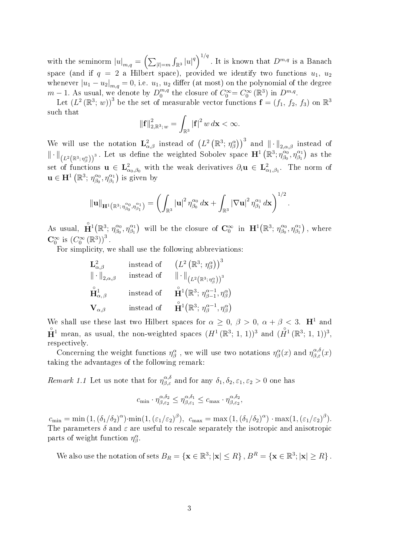with the seminorm  $|u|_{m,q} = \left(\sum_{|l|=m} \int_{\mathbb{R}^3} |u|^q\right)^{1/q}$ . It is known that  $D^{m,q}$  is a Banach space (and if  $q = 2$  a Hilbert space), provided we identify two functions  $u_1, u_2$ whenever  $|u_1 - u_2|_{m,q} = 0$ , i.e.  $u_1, u_2$  differ (at most) on the polynomial of the degree  $m-1$ . As usual, we denote by  $D_0^{m,q}$  $v_0^{m,q}$  the closure of  $C_0^{\infty} = C_0^{\infty}(\mathbb{R}^3)$  in  $D^{m,q}$ .

Let  $(L^2(\mathbb{R}^3; w))^3$  be the set of measurable vector functions  $\mathbf{f} = (f_1, f_2, f_3)$  on  $\mathbb{R}^3$ such that

$$
\|\mathbf{f}\|_{2,\mathbb{R}^3; w}^2 = \int_{\mathbb{R}^3} |\mathbf{f}|^2 w \, d\mathbf{x} < \infty.
$$

We will use the notation  $\mathbf{L}^2_{\alpha,\beta}$  instead of  $(L^2(\mathbb{R}^3; \eta^{\alpha}_{\beta}))^3$  and  $\|\cdot\|_{2,\alpha,\beta}$  instead of  $\left\|\cdot\right\|_{\left(L^2\left(\mathbb{R}^3,\,\eta_\beta^\alpha\right)\right)^3}$ . Let us define the weighted Sobolev space  $\mathbf{H}^1\left(\mathbb{R}^3;\,\eta_{\beta_0}^{\alpha_0}\right)$  $(\overset{\alpha_0}{\beta_0},\eta^{\alpha_1}_{\beta_1})$  as the set of functions  $\mathbf{u} \in \mathbf{L}^2_{\alpha_0,\beta_0}$  with the weak derivatives  $\partial_i \mathbf{u} \in \mathbf{L}^2_{\alpha_1,\beta_1}$ . The norm of  $\mathbf{u} \in \mathbf{H}^1 \left( \mathbb{R}^3; \, \eta_{\beta_0}^{\alpha_0} \right)$  $\left(\begin{smallmatrix} \alpha_0 & \alpha_1 \ \beta_0 & \eta_{\beta_1} \end{smallmatrix}\right)$  is given by

$$
\left\Vert \mathbf{u}\right\Vert_{\mathbf{H}^1\left(\mathbb{R}^3,\,\eta^{\alpha_0}_{\beta_0},\eta^{\alpha_1}_{\beta_1}\right)}=\left(\int_{\mathbb{R}^3}\left|\mathbf{u}\right|^2\eta^{\alpha_0}_{\beta_0}\,d\mathbf{x}+\int_{\mathbb{R}^3}\left|\nabla\mathbf{u}\right|^2\eta^{\alpha_1}_{\beta_1}\,d\mathbf{x}\right)^{1/2}.
$$

As usual,  $\mathbf{\hat{H}}^1(\mathbb{R}^3; \eta_{\beta_0}^{\alpha_0})$  $\left( \frac{\alpha_0}{\beta_0}, \eta_{\beta_1}^{\alpha_1} \right)$  will be the closure of  $\mathbf{C}_0^{\infty}$  in  $\mathbf{H}^1(\mathbb{R}^3; \eta_{\beta_0}^{\alpha_0})$  $\eta_{\beta_0}^{\alpha_0}, \eta_{\beta_1}^{\alpha_1} \big)$ , where  $\mathbf{C}_0^{\infty}$  is  $(C_0^{\infty}(\mathbb{R}^3))^3$ .

For simplicity, we shall use the following abbreviations:

| $\mathbf{L}_{\alpha,\beta}^2$       | instead of | $(L^2(\mathbb{R}^3; \eta_{\beta}^{\alpha}))^3$                                       |
|-------------------------------------|------------|--------------------------------------------------------------------------------------|
| $\ \cdot\ _{2,\alpha,\beta}$        | instead of | $\ \cdot\ _{(L^2(\mathbb{R}^3; \eta_{\beta}^{\alpha}))^3}$                           |
| $\mathbf{\hat{H}}_{\alpha,\beta}^1$ | instead of | $\mathbf{\hat{H}}^1(\mathbb{R}^3; \eta_{\beta-1}^{\alpha-1}, \eta_{\beta}^{\alpha})$ |
| $\mathbf{V}_{\alpha,\beta}$         | instead of | $\mathbf{\hat{H}}^1(\mathbb{R}^3; \eta_{\beta}^{\alpha-1}, \eta_{\beta}^{\alpha})$   |

We shall use these last two Hilbert spaces for  $\alpha \ge 0$ ,  $\beta > 0$ ,  $\alpha + \beta < 3$ . **H**<sup>1</sup> and  $\mathbf{P}^1$  mean, as usual, the non-weighted spaces  $(H^1(\mathbb{R}^3; 1, 1))^3$  and  $(\mathring{H}^1(\mathbb{R}^3; 1, 1))^3$ , respectively.

Concerning the weight functions  $\eta^\alpha_\beta$  , we will use two notations  $\eta^\alpha_\beta(x)$  and  $\eta^{\alpha,\delta}_{\beta,\varepsilon}(x)$ taking the advantages of the following remark:

Remark 1.1 Let us note that for  $\eta_{\beta,\varepsilon}^{\alpha,\delta}$  and for any  $\delta_1, \delta_2, \varepsilon_1, \varepsilon_2 > 0$  one has

$$
c_{\min} \cdot \eta^{\alpha, \delta_2}_{\beta, \varepsilon_2} \leq \eta^{\alpha, \delta_1}_{\beta, \varepsilon_1} \leq c_{\max} \cdot \eta^{\alpha, \delta_2}_{\beta, \varepsilon_2},
$$

 $c_{\min} = \min(1, (\delta_1/\delta_2)^{\alpha}) \cdot \min(1, (\varepsilon_1/\varepsilon_2)^{\beta}), \ c_{\max} = \max(1, (\delta_1/\delta_2)^{\alpha}) \cdot \max(1, (\varepsilon_1/\varepsilon_2)^{\beta}).$ The parameters  $\delta$  and  $\varepsilon$  are useful to rescale separately the isotropic and anisotropic parts of weight function  $\eta^{\alpha}_{\beta}$ .

We also use the notation of sets  $B_R = \{ \mathbf{x} \in \mathbb{R}^3; |\mathbf{x}| \leq R \}$ ,  $B^R = \{ \mathbf{x} \in \mathbb{R}^3; |\mathbf{x}| \geq R \}$ .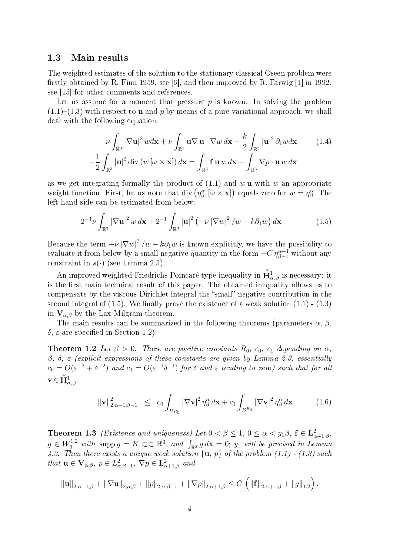### 1.3 Main results

The weighted estimates of the solution to the stationary classical Oseen problem were firstly obtained by R. Finn 1959, see [6], and then improved by R. Farwig  $[1]$  in 1992. see [15] for other comments and references.

Let us assume for a moment that pressure  $p$  is known. In solving the problem  $(1.1)-(1.3)$  with respect to **u** and p by means of a pure variational approach, we shall deal with the following equation:

$$
\nu \int_{\mathbb{R}^3} |\nabla \mathbf{u}|^2 w d\mathbf{x} + \nu \int_{\mathbb{R}^3} \mathbf{u} \nabla \mathbf{u} \cdot \nabla w d\mathbf{x} - \frac{k}{2} \int_{\mathbb{R}^3} |\mathbf{u}|^2 \partial_1 w d\mathbf{x}
$$
 (1.4)  

$$
-\frac{1}{2} \int_{\mathbb{R}^3} |\mathbf{u}|^2 \operatorname{div} (w \left[ \omega \times \mathbf{x} \right]) d\mathbf{x} = \int_{\mathbb{R}^3} \mathbf{f} \mathbf{u} \, w \, d\mathbf{x} - \int_{\mathbb{R}^3} \nabla p \cdot \mathbf{u} \, w \, d\mathbf{x}
$$

as we get integrating formally the product of  $(1.1)$  and w u with w an appropriate weight function. First, let us note that div  $(\eta^{\alpha}_{\beta} \; [\omega \times \mathbf{x}])$  equals zero for  $w = \eta^{\alpha}_{\beta}$ . The left hand side can be estimated from below:

$$
2^{-1}\nu\int_{\mathbb{R}^3} \left|\nabla\mathbf{u}\right|^2 w \,d\mathbf{x} + 2^{-1}\int_{\mathbb{R}^3} \left|\mathbf{u}\right|^2 \left(-\nu\left|\nabla w\right|^2/w - k\partial_1 w\right) d\mathbf{x} \tag{1.5}
$$

Because the term  $-\nu |\nabla w|^2/w - k\partial_1 w$  is known explicitly, we have the possibility to evaluate it from below by a small negative quantity in the form  $-C\,\eta_{\beta-1}^{\alpha-1}$  without any constraint in  $s(\cdot)$  (see Lemma 2.5).

An improved weighted Friedrichs-Poincaré type inequality in  $\hat{\mathbf{H}}^1_{\alpha,\,\beta}$  is necessary: it is the first main technical result of this paper. The obtained inequality allows us to compensate by the viscous Dirichlet integral the "small" negative contribution in the second integral of  $(1.5)$ . We finally prove the existence of a weak solution  $(1.1)$  -  $(1.3)$ in  $V_{\alpha,\beta}$  by the Lax-Milgram theorem.

The main results can be summarized in the following theorems (parameters  $\alpha$ ,  $\beta$ ,  $\delta$ ,  $\varepsilon$  are specified in Section 1.2):

**Theorem 1.2** Let  $\beta > 0$ . There are positive constants  $R_0$ ,  $c_0$ ,  $c_1$  depending on  $\alpha$ , β, δ, ε (explicit expressions of these constants are given by Lemma 2.3, essentially  $c_0 = O(\varepsilon^{-2} + \delta^{-2})$  and  $c_1 = O(\varepsilon^{-1} \delta^{-1})$  for  $\delta$  and  $\varepsilon$  tending to zero) such that for all  $\mathbf{v}\in\overset{\circ}{\mathbf{H}}_{\alpha,\ \beta}^{1}$ 

$$
\|\mathbf{v}\|_{2,\alpha-1,\beta-1}^2 \leq c_0 \int_{B_{R_0}} |\nabla \mathbf{v}|^2 \eta_{\beta}^{\alpha} d\mathbf{x} + c_1 \int_{B^{R_0}} |\nabla \mathbf{v}|^2 \eta_{\beta}^{\alpha} d\mathbf{x}.
$$
 (1.6)

**Theorem 1.3** (Existence and uniqueness) Let  $0 < \beta \leq 1$ ,  $0 \leq \alpha < y_1\beta$ ,  $f \in L^2_{\alpha+1,\beta}$ ,  $g \in W_0^{1,2}$  with supp $g = K \subset\subset \mathbb{R}^3$ , and  $\int_{\mathbb{R}^3} g \, d\mathbf{x} = 0$ ; y<sub>1</sub> will be precised in Lemma 4.3. Then there exists a unique weak solution  $\{u, p\}$  of the problem (1.1) - (1.3) such that  $\mathbf{u} \in \mathbf{V}_{\alpha,\beta}, p \in L^2_{\alpha,\beta-1}, \nabla p \in \mathbf{L}^2_{\alpha+1,\beta}$  and

$$
\|\mathbf{u}\|_{2,\alpha-1,\beta} + \|\nabla \mathbf{u}\|_{2,\alpha,\beta} + \|p\|_{2,\alpha,\beta-1} + \|\nabla p\|_{2,\alpha+1,\beta} \leq C \left( \|\mathbf{f}\|_{2,\alpha+1,\beta} + \|g\|_{1,2} \right).
$$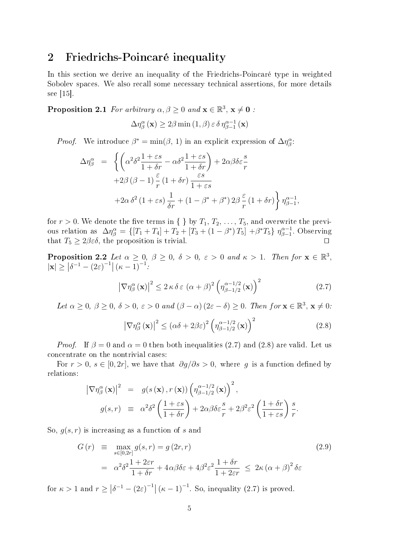## 2 Friedrichs-Poincaré inequality

In this section we derive an inequality of the Friedrichs-Poincaré type in weighted Sobolev spaces. We also recall some necessary technical assertions, for more details see [15].

**Proposition 2.1** For arbitrary  $\alpha, \beta \ge 0$  and  $\mathbf{x} \in \mathbb{R}^3$ ,  $\mathbf{x} \ne \mathbf{0}$ :

$$
\Delta \eta_{\beta}^{\alpha}(\mathbf{x}) \ge 2\beta \min(1, \beta) \varepsilon \delta \eta_{\beta-1}^{\alpha-1}(\mathbf{x})
$$

*Proof.* We introduce  $\beta^* = \min(\beta, 1)$  in an explicit expression of  $\Delta \eta^{\alpha}_{\beta}$ .

$$
\Delta \eta_{\beta}^{\alpha} = \left\{ \left( \alpha^{2} \delta^{2} \frac{1+\varepsilon s}{1+\delta r} - \alpha \delta^{2} \frac{1+\varepsilon s}{1+\delta r} \right) + 2\alpha \beta \delta \varepsilon \frac{s}{r} + 2\beta \left( \beta - 1 \right) \frac{\varepsilon}{r} (1+\delta r) \frac{\varepsilon s}{1+\varepsilon s} + 2\alpha \delta^{2} (1+\varepsilon s) \frac{1}{\delta r} + (1-\beta^{*} + \beta^{*}) 2\beta \frac{\varepsilon}{r} (1+\delta r) \right\} \eta_{\beta-1}^{\alpha-1},
$$

for  $r > 0$ . We denote the five terms in  $\{\}\$ by  $T_1, T_2, \ldots, T_5$ , and overwrite the previous relation as  $\Delta \eta_{\beta}^{\alpha} = \{ [T_1 + T_4] + T_2 + [T_3 + (1 - \beta^*) T_5] + \beta^* T_5 \} \eta_{\beta-1}^{\alpha-1}$  $\int_{\beta-1}^{\alpha-1}$ . Observing that  $T_5 \geq 2\beta \varepsilon \delta$ , the proposition is trivial.

**Proposition 2.2** Let  $\alpha \geq 0$ ,  $\beta \geq 0$ ,  $\delta > 0$ ,  $\varepsilon > 0$  and  $\kappa > 1$ . Then for  $\mathbf{x} \in \mathbb{R}^3$ ,  $|\mathbf{x}| \ge |\delta^{-1} - (2\varepsilon)^{-1}| (\kappa - 1)^{-1}$ :

$$
\left|\nabla\eta_{\beta}^{\alpha}\left(\mathbf{x}\right)\right|^{2} \leq 2\,\kappa\,\delta\,\varepsilon\,\left(\alpha+\beta\right)^{2}\left(\eta_{\beta-1/2}^{\alpha-1/2}\left(\mathbf{x}\right)\right)^{2} \tag{2.7}
$$

Let  $\alpha \geq 0$ ,  $\beta \geq 0$ ,  $\delta > 0$ ,  $\varepsilon > 0$  and  $(\beta - \alpha)(2\varepsilon - \delta) \geq 0$ . Then for  $\mathbf{x} \in \mathbb{R}^3$ ,  $\mathbf{x} \neq 0$ .

$$
\left|\nabla\eta_{\beta}^{\alpha}\left(\mathbf{x}\right)\right|^{2} \leq \left(\alpha\delta + 2\beta\varepsilon\right)^{2} \left(\eta_{\beta-1/2}^{\alpha-1/2}\left(\mathbf{x}\right)\right)^{2} \tag{2.8}
$$

*Proof.* If  $\beta = 0$  and  $\alpha = 0$  then both inequalities (2.7) and (2.8) are valid. Let us concentrate on the nontrivial cases:

For  $r > 0$ ,  $s \in [0, 2r]$ , we have that  $\partial g/\partial s > 0$ , where g is a function defined by relations:

$$
\begin{array}{rcl}\n\left|\nabla \eta^{\alpha}_{\beta}(\mathbf{x})\right|^{2} & = & g(s(\mathbf{x}), r(\mathbf{x})) \left(\eta^{\alpha-1/2}_{\beta-1/2}(\mathbf{x})\right)^{2}, \\
g(s, r) & \equiv & \alpha^{2} \delta^{2} \left(\frac{1+\varepsilon s}{1+\delta r}\right) + 2\alpha \beta \delta \varepsilon \frac{s}{r} + 2\beta^{2} \varepsilon^{2} \left(\frac{1+\delta r}{1+\varepsilon s}\right) \frac{s}{r}.\n\end{array}
$$

So,  $g(s, r)$  is increasing as a function of s and

$$
G(r) \equiv \max_{s \in [0,2r]} g(s,r) = g(2r,r)
$$
\n
$$
= \alpha^2 \delta^2 \frac{1 + 2\varepsilon r}{1 + \delta r} + 4\alpha \beta \delta \varepsilon + 4\beta^2 \varepsilon^2 \frac{1 + \delta r}{1 + 2\varepsilon r} \le 2\kappa (\alpha + \beta)^2 \delta \varepsilon
$$
\n(2.9)

for  $\kappa > 1$  and  $r \geq \left| \delta^{-1} - (2\varepsilon)^{-1} \right| (\kappa - 1)^{-1}$ . So, inequality (2.7) is proved.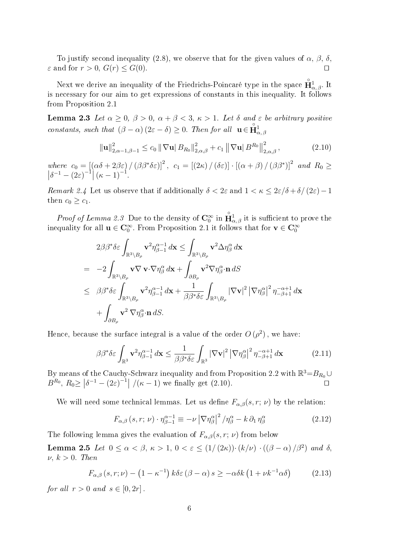To justify second inequality (2.8), we observe that for the given values of  $\alpha$ ,  $\beta$ ,  $\delta$ .  $\varepsilon$  and for  $r > 0$ ,  $G(r) \leq G(0)$ .

Next we derive an inequality of the Friedrichs-Poincaré type in the space  $\mathring{\mathbf{H}}_{\alpha,\beta}^1$ . It is necessary for our aim to get expressions of constants in this inequality. It follows from Proposition 2.1

**Lemma 2.3** Let  $\alpha \geq 0$ ,  $\beta > 0$ ,  $\alpha + \beta < 3$ ,  $\kappa > 1$ . Let  $\delta$  and  $\varepsilon$  be arbitrary positive constants, such that  $(\beta - \alpha) (2\varepsilon - \delta) \geq 0$ . Then for all  $\mathbf{u} \in \mathring{\mathbf{H}}_{\alpha,\beta}^1$ 

$$
\|\mathbf{u}\|_{2,\alpha-1,\beta-1}^2 \le c_0 \|\nabla \mathbf{u}\| B_{R_0}\|_{2,\alpha,\beta}^2 + c_1 \|\nabla \mathbf{u}\| B_{R_0}\|_{2,\alpha,\beta}^2, \qquad (2.10)
$$

where  $c_0 = [(\alpha \delta + 2\beta \varepsilon) / (\beta \beta^* \delta \varepsilon)]^2$ ,  $c_1 = [(2\kappa) / (\delta \varepsilon)] \cdot [(\alpha + \beta) / (\beta \beta^*)]^2$  $\Big\}$ and  $R_0 \geq$  $\left|\delta^{-1}-(2\varepsilon)^{-1}\right|(\kappa-1)^{-1}.$ 

Remark 2.4 Let us observe that if additionally  $\delta < 2\varepsilon$  and  $1 < \kappa \leq 2\varepsilon/\delta + \delta/(2\varepsilon) - 1$ then  $c_0 \geq c_1$ .

*Proof of Lemma 2.3* Due to the density of  $\mathbf{C}_0^{\infty}$  in  $\hat{\mathbf{H}}_{\alpha,\beta}^1$  it is sufficient to prove the inequality for all  $u \in \mathbf{C}_0^{\infty}$ . From Proposition 2.1 it follows that for  $v \in \mathbf{C}_0^{\infty}$ 

$$
2\beta\beta^*\delta\varepsilon \int_{\mathbb{R}^3 \setminus B_\rho} \mathbf{v}^2 \eta_{\beta-1}^{\alpha-1} d\mathbf{x} \le \int_{\mathbb{R}^3 \setminus B_\rho} \mathbf{v}^2 \Delta \eta_{\beta}^{\alpha} d\mathbf{x}
$$
  
\n
$$
= -2 \int_{\mathbb{R}^3 \setminus B_\rho} \mathbf{v} \nabla \mathbf{v} \cdot \nabla \eta_{\beta}^{\alpha} d\mathbf{x} + \int_{\partial B_\rho} \mathbf{v}^2 \nabla \eta_{\beta}^{\alpha} \cdot \mathbf{n} dS
$$
  
\n
$$
\leq \beta\beta^*\delta\varepsilon \int_{\mathbb{R}^3 \setminus B_\rho} \mathbf{v}^2 \eta_{\beta-1}^{\alpha-1} d\mathbf{x} + \frac{1}{\beta\beta^*\delta\varepsilon} \int_{\mathbb{R}^3 \setminus B_\rho} |\nabla \mathbf{v}|^2 |\nabla \eta_{\beta}^{\alpha}|^2 \eta_{-\beta+1}^{-\alpha+1} d\mathbf{x}
$$
  
\n
$$
+ \int_{\partial B_\rho} \mathbf{v}^2 \nabla \eta_{\beta}^{\alpha} \cdot \mathbf{n} dS.
$$

Hence, because the surface integral is a value of the order  $O(\rho^2)$ , we have:

$$
\beta \beta^* \delta \varepsilon \int_{\mathbb{R}^3} \mathbf{v}^2 \eta_{\beta - 1}^{\alpha - 1} d\mathbf{x} \le \frac{1}{\beta \beta^* \delta \varepsilon} \int_{\mathbb{R}^3} |\nabla \mathbf{v}|^2 |\nabla \eta_{\beta}^{\alpha}|^2 \eta_{-\beta + 1}^{-\alpha + 1} d\mathbf{x} \tag{2.11}
$$

By means of the Cauchy-Schwarz inequality and from Proposition 2.2 with  $\mathbb{R}^3 = B_{R_0} \cup$  $B^{R_0}, R_0 \geq |\delta^{-1} - (2\varepsilon)^{-1}| / (\kappa - 1)$  we finally get (2.10).

We will need some technical lemmas. Let us define  $F_{\alpha,\beta}(s,r;\nu)$  by the relation:

$$
F_{\alpha,\beta}\left(s,r;\,\nu\right)\cdot\eta_{\beta-1}^{\alpha-1}\equiv-\nu\left|\nabla\eta_{\beta}^{\alpha}\right|^{2}/\eta_{\beta}^{\alpha}-k\,\partial_{1}\,\eta_{\beta}^{\alpha}\tag{2.12}
$$

The following lemma gives the evaluation of  $F_{\alpha,\beta}(s,r;\nu)$  from below

**Lemma 2.5** Let  $0 \le \alpha < \beta$ ,  $\kappa > 1$ ,  $0 < \varepsilon \le (1/(2\kappa)) \cdot (k/\nu) \cdot ((\beta - \alpha)/\beta^2)$  and  $\delta$ ,  $\nu, k > 0$ . Then

$$
F_{\alpha,\beta}\left(s,r;\nu\right) - \left(1 - \kappa^{-1}\right)k\delta\varepsilon\left(\beta - \alpha\right)s \geq -\alpha\delta k\left(1 + \nu k^{-1}\alpha\delta\right) \tag{2.13}
$$

for all  $r > 0$  and  $s \in [0, 2r]$ .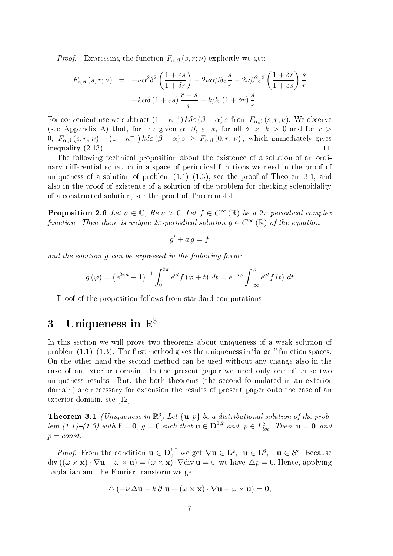*Proof.* Expressing the function  $F_{\alpha,\beta}(s,r;\nu)$  explicitly we get:

$$
F_{\alpha,\beta}(s,r;\nu) = -\nu\alpha^2\delta^2 \left(\frac{1+\varepsilon s}{1+\delta r}\right) - 2\nu\alpha\beta\delta\varepsilon \frac{s}{r} - 2\nu\beta^2\varepsilon^2 \left(\frac{1+\delta r}{1+\varepsilon s}\right)\frac{s}{r}
$$

$$
-k\alpha\delta \left(1+\varepsilon s\right)\frac{r-s}{r} + k\beta\varepsilon \left(1+\delta r\right)\frac{s}{r}
$$

For convenient use we subtract  $(1 - \kappa^{-1}) k \delta \varepsilon (\beta - \alpha) s$  from  $F_{\alpha,\beta}(s,r;\nu)$ . We observe (see Appendix A) that, for the given  $\alpha$ ,  $\beta$ ,  $\varepsilon$ ,  $\kappa$ , for all  $\delta$ ,  $\nu$ ,  $k > 0$  and for  $r >$ 0,  $F_{\alpha,\beta}(s,r;\nu) - (1 - \kappa^{-1}) k \delta \varepsilon (\beta - \alpha) s \geq F_{\alpha,\beta}(0,r;\nu)$ , which immediately gives inequality  $(2.13)$ .

The following technical proposition about the existence of a solution of an ordinary differential equation in a space of periodical functions we need in the proof of uniqueness of a solution of problem  $(1.1)-(1.3)$ , see the proof of Theorem 3.1, and also in the proof of existence of a solution of the problem for checking solenoidality of a constructed solution, see the proof of Theorem 4.4.

**Proposition 2.6** Let  $a \in \mathbb{C}$ , Re  $a > 0$ . Let  $f \in C^{\infty}(\mathbb{R})$  be a  $2\pi$ -periodical complex function. Then there is unique  $2\pi$ -periodical solution  $g \in C^{\infty}(\mathbb{R})$  of the equation

$$
g' + a\,g = f
$$

and the solution g can be expressed in the following form:

$$
g(\varphi) = \left(e^{2\pi a} - 1\right)^{-1} \int_0^{2\pi} e^{at} f(\varphi + t) dt = e^{-a\varphi} \int_{-\infty}^{\varphi} e^{at} f(t) dt
$$

Proof of the proposition follows from standard computations.

# 3 Uniqueness in  $\mathbb{R}^3$

In this section we will prove two theorems about uniqueness of a weak solution of problem  $(1.1)-(1.3)$ . The first method gives the uniqueness in "larger" function spaces. On the other hand the second method can be used without any change also in the case of an exterior domain. In the present paper we need only one of these two uniqueness results. But, the both theorems (the second formulated in an exterior domain) are necessary for extension the results of present paper onto the case of an exterior domain, see [12].

**Theorem 3.1** (Uniqueness in  $\mathbb{R}^3$ ) Let  $\{\mathbf{u}, p\}$  be a distributional solution of the problem  $(1.1)-(1.3)$  with  $f = 0$ ,  $g = 0$  such that  $u \in D_0^{1,2}$  and  $p \in L_{loc}^2$ . Then  $u = 0$  and  $p = const.$ 

*Proof.* From the condition  $\mathbf{u} \in \mathbf{D}_0^{1,2}$  we get  $\nabla \mathbf{u} \in \mathbf{L}^2$ ,  $\mathbf{u} \in \mathbf{L}^6$ ,  $\mathbf{u} \in \mathcal{S}'$ . Because  $\text{div } ((\omega \times \mathbf{x}) \cdot \nabla \mathbf{u} - \omega \times \mathbf{u}) = (\omega \times \mathbf{x}) \cdot \nabla \text{div } \mathbf{u} = 0$ , we have  $\Delta p = 0$ . Hence, applying Laplacian and the Fourier transform we get

$$
\Delta \left( -\nu \, \Delta \mathbf{u} + k \, \partial_1 \mathbf{u} - (\omega \times \mathbf{x}) \cdot \nabla \mathbf{u} + \omega \times \mathbf{u} \right) = \mathbf{0},
$$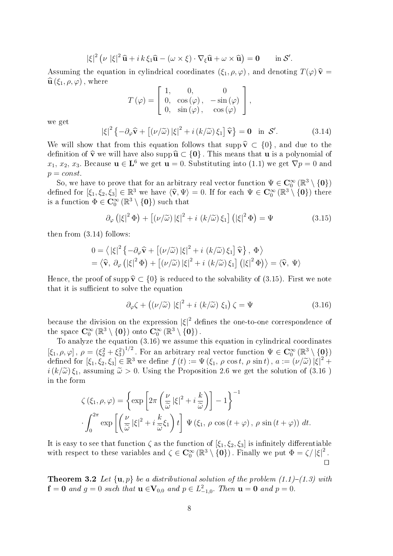$$
|\xi|^2 \left( \nu \, |\xi|^2 \, \widehat{\mathbf{u}} + i \, k \, \xi_1 \widehat{\mathbf{u}} - (\omega \times \xi) \cdot \nabla_{\xi} \widehat{\mathbf{u}} + \omega \times \widehat{\mathbf{u}} \right) = \mathbf{0} \qquad \text{in } \mathcal{S}'.
$$

Assuming the equation in cylindrical coordinates  $(\xi_1, \rho, \varphi)$ , and denoting  $T(\varphi) \hat{\mathbf{v}} =$  $\widehat{\mathbf{u}}(\xi_1, \rho, \varphi)$ , where

$$
T(\varphi) = \begin{bmatrix} 1, & 0, & 0 \\ 0, & \cos(\varphi), & -\sin(\varphi) \\ 0, & \sin(\varphi), & \cos(\varphi) \end{bmatrix},
$$

we get

$$
|\xi|^2 \left\{ -\partial_{\varphi} \widehat{\mathbf{v}} + \left[ (\nu/\widetilde{\omega}) |\xi|^2 + i (k/\widetilde{\omega}) \xi_1 \right] \widehat{\mathbf{v}} \right\} = \mathbf{0} \text{ in } \mathcal{S}'. \tag{3.14}
$$

We will show that from this equation follows that supp  $\hat{\mathbf{v}} \subset \{0\}$ , and due to the definition of  $\hat{\mathbf{v}}$  we will have also supp  $\hat{\mathbf{u}} \subset \{0\}$ . This means that **u** is a polynomial of  $x_1, x_2, x_3$ . Because  $\mathbf{u} \in \mathbf{L}^6$  we get  $\mathbf{u} = 0$ . Substituting into (1.1) we get  $\nabla p = 0$  and  $p = const.$ 

So, we have to prove that for an arbitrary real vector function  $\Psi \in \mathbf{C}_0^\infty \left( \mathbb{R}^3 \setminus \{\mathbf{0}\} \right)$ defined for  $[\xi_1, \xi_2, \xi_3] \in \mathbb{R}^3$  we have  $\langle \hat{\mathbf{v}}, \Psi \rangle = 0$ . If for each  $\Psi \in \mathbf{C}_0^{\infty}(\mathbb{R}^3 \setminus \{\mathbf{0}\})$  there is a function  $\Phi \in \mathbf{C}_0^{\infty}(\mathbb{R}^3 \setminus \{\mathbf{0}\})$  such that

$$
\partial_{\varphi} \left( |\xi|^2 \Phi \right) + \left[ (\nu/\widetilde{\omega}) |\xi|^2 + i \left( k/\widetilde{\omega} \right) \xi_1 \right] \left( |\xi|^2 \Phi \right) = \Psi \tag{3.15}
$$

then from (3.14) follows:

$$
0 = \langle |\xi|^2 \left\{ -\partial_{\varphi} \hat{\mathbf{v}} + \left[ (\nu/\widetilde{\omega}) |\xi|^2 + i \left( k/\widetilde{\omega} \right) \xi_1 \right] \hat{\mathbf{v}} \right\}, \Phi \rangle
$$
  
=  $\langle \hat{\mathbf{v}}, \partial_{\varphi} (|\xi|^2 \Phi) + \left[ (\nu/\widetilde{\omega}) |\xi|^2 + i \left( k/\widetilde{\omega} \right) \xi_1 \right] (|\xi|^2 \Phi) \rangle = \langle \hat{\mathbf{v}}, \Psi \rangle$ 

Hence, the proof of supp  $\hat{\mathbf{v}} \subset \{0\}$  is reduced to the solvability of (3.15). First we note that it is sufficient to solve the equation

$$
\partial_{\varphi}\zeta + \left( \left( \nu/\widetilde{\omega} \right) \left| \xi \right|^{2} + i \left( k/\widetilde{\omega} \right) \xi_{1} \right) \zeta = \Psi \tag{3.16}
$$

because the division on the expression  $|\xi|^2$  defines the one-to-one correspondence of the space  $\mathbf{C}_0^{\infty}(\mathbb{R}^3 \setminus \{\mathbf{0}\})$  onto  $\mathbf{C}_0^{\infty}(\mathbb{R}^3 \setminus \{\mathbf{0}\})$ .

To analyze the equation (3.16) we assume this equation in cylindrical coordinates  $[\xi_1, \rho, \varphi], \ \rho = (\xi_2^2 + \xi_3^2)^{1/2}$ . For an arbitrary real vector function  $\Psi \in \mathbf{C}_0^{\infty}(\mathbb{R}^3 \setminus {\mathbf{0}})$ defined for  $[\xi_1, \xi_2, \xi_3] \in \mathbb{R}^3$  we define  $f(t) := \Psi(\xi_1, \rho \cos t, \rho \sin t)$ ,  $a := (\nu/\widetilde{\omega}) |\xi|^2 +$ <br>i(k/ $\widetilde{\omega}$ )  $\xi$  -assuming  $\widetilde{\omega} > 0$ . Using the Proposition 3.6 we get the solution of (3.16)  $i(k/\tilde{\omega})\xi_1$ , assuming  $\tilde{\omega} > 0$ . Using the Proposition 2.6 we get the solution of (3.16) in the form

$$
\zeta(\xi_1, \rho, \varphi) = \left\{ \exp \left[ 2\pi \left( \frac{\nu}{\tilde{\omega}} |\xi|^2 + i \frac{k}{\tilde{\omega}} \right) \right] - 1 \right\}^{-1}
$$

$$
\cdot \int_0^{2\pi} \exp \left[ \left( \frac{\nu}{\tilde{\omega}} |\xi|^2 + i \frac{k}{\tilde{\omega}} \xi_1 \right) t \right] \Psi(\xi_1, \rho \cos(t + \varphi), \rho \sin(t + \varphi)) dt.
$$

It is easy to see that function  $\zeta$  as the function of  $[\xi_1, \xi_2, \xi_3]$  is infinitely differentiable with respect to these variables and  $\zeta \in \mathbb{C}_0^{\infty}(\mathbb{R}^3 \setminus \{0\})$ . Finally we put  $\Phi = \zeta / |\xi|^2$ .  $\Box$ 

**Theorem 3.2** Let  $\{u, p\}$  be a distributional solution of the problem (1.1)–(1.3) with  $f = 0$  and  $g = 0$  such that  $u \in V_{0,0}$  and  $p \in L_{-1,0}^2$ . Then  $u = 0$  and  $p = 0$ .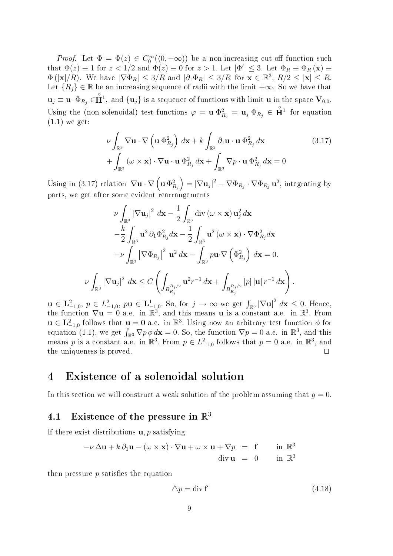*Proof.* Let  $\Phi = \Phi(z) \in C_0^{\infty}(\langle 0, +\infty)$  be a non-increasing cut-off function such that  $\Phi(z) \equiv 1$  for  $z < 1/2$  and  $\Phi(z) \equiv 0$  for  $z > 1$ . Let  $|\Phi'| \leq 3$ . Let  $\Phi_R \equiv \Phi_R(\mathbf{x}) \equiv$  $\Phi(|\mathbf{x}|/R)$ . We have  $|\nabla \Phi_R| \leq 3/R$  and  $|\partial_1 \Phi_R| \leq 3/R$  for  $\mathbf{x} \in \mathbb{R}^3$ ,  $R/2 \leq |\mathbf{x}| \leq R$ . Let  ${R_i} \in \mathbb{R}$  be an increasing sequence of radii with the limit  $+\infty$ . So we have that  $\mathbf{u}_j \equiv \mathbf{u} \cdot \Phi_{R_j} \in \mathring{\mathbf{H}}^1$ , and  $\{\mathbf{u}_j\}$  is a sequence of functions with limit **u** in the space  $\mathbf{V}_{0,0}$ . Using the (non-solenoidal) test functions  $\varphi = \mathbf{u} \Phi_{R_j}^2 = \mathbf{u}_j \Phi_{R_j} \in \mathbf{H}^1$  for equation (1.1) we get:

$$
\nu \int_{\mathbb{R}^3} \nabla \mathbf{u} \cdot \nabla \left( \mathbf{u} \, \Phi_{R_j}^2 \right) \, d\mathbf{x} + k \int_{\mathbb{R}^3} \partial_1 \mathbf{u} \cdot \mathbf{u} \, \Phi_{R_j}^2 \, d\mathbf{x} \tag{3.17}
$$
\n
$$
+ \int_{\mathbb{R}^3} \left( \omega \times \mathbf{x} \right) \cdot \nabla \mathbf{u} \cdot \mathbf{u} \, \Phi_{R_j}^2 \, d\mathbf{x} + \int_{\mathbb{R}^3} \nabla p \cdot \mathbf{u} \, \Phi_{R_j}^2 \, d\mathbf{x} = 0
$$

Using in (3.17) relation  $\nabla \mathbf{u} \cdot \nabla \left( \mathbf{u} \, \Phi_{R_j}^2 \right) = |\nabla \mathbf{u}_j|^2 - \nabla \Phi_{R_j} \cdot \nabla \Phi_{R_j} \mathbf{u}^2$ , integrating by parts, we get after some evident rearrangements

$$
\nu \int_{\mathbb{R}^3} |\nabla \mathbf{u}_j|^2 \, d\mathbf{x} - \frac{1}{2} \int_{\mathbb{R}^3} \operatorname{div} (\omega \times \mathbf{x}) \, \mathbf{u}_j^2 \, d\mathbf{x} \n- \frac{k}{2} \int_{\mathbb{R}^3} \mathbf{u}^2 \, \partial_1 \Phi_{R_j}^2 \, d\mathbf{x} - \frac{1}{2} \int_{\mathbb{R}^3} \mathbf{u}^2 \, (\omega \times \mathbf{x}) \cdot \nabla \Phi_{R_j}^2 \, d\mathbf{x} \n- \nu \int_{\mathbb{R}^3} |\nabla \Phi_{R_j}|^2 \, \mathbf{u}^2 \, d\mathbf{x} - \int_{\mathbb{R}^3} p \mathbf{u} \cdot \nabla \left( \Phi_{R_j}^2 \right) \, d\mathbf{x} = 0.
$$
\n
$$
\nu \int_{\mathbb{R}^3} |\nabla \mathbf{u}_j|^2 \, d\mathbf{x} \le C \left( \int_{B_{R_j}^{R_j/2}} \mathbf{u}^2 r^{-1} \, d\mathbf{x} + \int_{B_{R_j}^{R_j/2}} |p| \, |\mathbf{u}| \, r^{-1} \, d\mathbf{x} \right).
$$

 $\mathbf{u} \in \mathbf{L}^2_{-1,0}, p \in L^2_{-1,0}, p\mathbf{u} \in \mathbf{L}^1_{-1,0}$ . So, for  $j \to \infty$  we get  $\int_{\mathbb{R}^3} |\nabla \mathbf{u}|^2 dx \leq 0$ . Hence, the function  $\nabla$ **u** = 0 a.e. in  $\mathbb{R}^3$ , and this means **u** is a constant a.e. in  $\mathbb{R}^3$ . From  $u \in L^2_{-1,0}$  follows that  $u = 0$  a.e. in  $\mathbb{R}^3$ . Using now an arbitrary test function  $\phi$  for equation (1.1), we get  $\int_{\mathbb{R}^3} \nabla p \phi d\mathbf{x} = 0$ . So, the function  $\nabla p = 0$  a.e. in  $\mathbb{R}^3$ , and this means p is a constant a.e. in  $\mathbb{R}^3$ . From  $p \in L^2_{-1,0}$  follows that  $p = 0$  a.e. in  $\mathbb{R}^3$ , and the uniqueness is proved.  $\Box$ 

## 4 Existence of a solenoidal solution

In this section we will construct a weak solution of the problem assuming that  $g = 0$ .

## 4.1 Existence of the pressure in  $\mathbb{R}^3$

If there exist distributions  $\mathbf{u}, p$  satisfying

$$
-\nu \Delta \mathbf{u} + k \partial_1 \mathbf{u} - (\omega \times \mathbf{x}) \cdot \nabla \mathbf{u} + \omega \times \mathbf{u} + \nabla p = \mathbf{f} \quad \text{in } \mathbb{R}^3
$$
  
div  $\mathbf{u} = 0$  in  $\mathbb{R}^3$ 

then pressure  $p$  satisfies the equation

$$
\Delta p = \text{div } \mathbf{f} \tag{4.18}
$$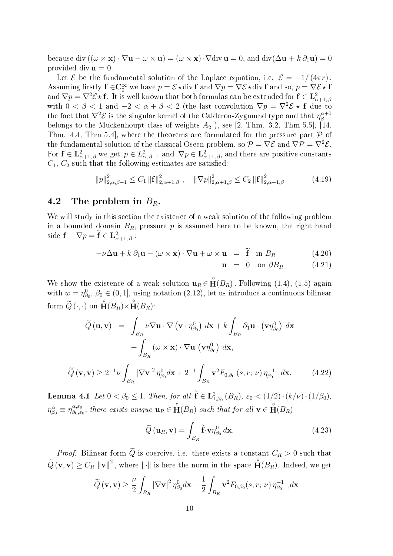because div  $((\omega \times \mathbf{x}) \cdot \nabla \mathbf{u} - \omega \times \mathbf{u}) = (\omega \times \mathbf{x}) \cdot \nabla \text{div } \mathbf{u} = 0$ , and  $\text{div}(\Delta \mathbf{u} + k \partial_1 \mathbf{u}) = 0$ provided div  $\mathbf{u} = 0$ .

Let E be the fundamental solution of the Laplace equation, i.e.  $\mathcal{E} = -1/(4\pi r)$ . Assuming firstly  $f \in C_0^{\infty}$  we have  $p = \mathcal{E} \star$ div  $f$  and  $\nabla p = \nabla \mathcal{E} \star$ div  $f$  and so,  $p = \nabla \mathcal{E} \star f$ and  $\nabla p=\nabla^2\mathcal{E}\star\mathbf{f}.$  It is well known that both formulas can be extended for  $\mathbf{f}\in\mathbf{L}^2_{\alpha+1,\,\beta}$ with  $0 < \beta < 1$  and  $-2 < \alpha + \beta < 2$  (the last convolution  $\nabla p = \nabla^2 \mathcal{E} \star \mathbf{f}$  due to the fact that  $\nabla^2 \mathcal{E}$  is the singular kernel of the Calderon-Zygmund type and that  $\eta^{\alpha+1}_\beta$ β belongs to the Muckenhoupt class of weights  $A_2$ ), see [2, Thm. 3.2, Thm 5.5], [14, Thm. 4.4, Thm 5.4, where the theorems are formulated for the pressure part  $\mathcal P$  of the fundamental solution of the classical Oseen problem, so  $\mathcal{P} = \nabla \mathcal{E}$  and  $\nabla \mathcal{P} = \nabla^2 \mathcal{E}$ . For  $f \in L^2_{\alpha+1,\beta}$  we get  $p \in L^2_{\alpha,\beta-1}$  and  $\nabla p \in L^2_{\alpha+1,\beta}$ , and there are positive constants  $C_1, C_2$  such that the following estimates are satisfied:

$$
||p||_{2,\alpha,\beta-1}^{2} \leq C_{1} ||\mathbf{f}||_{2,\alpha+1,\beta}^{2}, \quad ||\nabla p||_{2,\alpha+1,\beta}^{2} \leq C_{2} ||\mathbf{f}||_{2,\alpha+1,\beta}^{2}
$$
 (4.19)

## 4.2 The problem in  $B_R$ .

We will study in this section the existence of a weak solution of the following problem in a bounded domain  $B_R$ , pressure p is assumed here to be known, the right hand side  $\mathbf{f} - \nabla p = \mathbf{f} \in \mathbf{L}^2_{\alpha+1,\beta}$ :

$$
-\nu\Delta\mathbf{u} + k\,\partial_1\mathbf{u} - (\omega \times \mathbf{x}) \cdot \nabla\mathbf{u} + \omega \times \mathbf{u} = \tilde{\mathbf{f}} \quad \text{in } B_R \tag{4.20}
$$

$$
\mathbf{u} = 0 \quad \text{on } \partial B_R \tag{4.21}
$$

We show the existence of a weak solution  $\mathbf{u}_R \in \mathbf{\hat{H}}(B_R)$ . Following (1.4), (1.5) again with  $w = \eta_{\beta_0}^0$ ,  $\beta_0 \in (0, 1]$ , using notation  $(2.12)$ , let us introduce a continuous bilinear form  $\widetilde{Q}(\cdot,\cdot)$  on  $\mathbf{\hat{H}}(B_R) \times \mathbf{\hat{H}}(B_R)$ :

$$
\widetilde{Q}(\mathbf{u}, \mathbf{v}) = \int_{B_R} \nu \nabla \mathbf{u} \cdot \nabla (\mathbf{v} \cdot \eta_{\beta_0}^0) d\mathbf{x} + k \int_{B_R} \partial_1 \mathbf{u} \cdot (\mathbf{v} \eta_{\beta_0}^0) d\mathbf{x} \n+ \int_{B_R} (\omega \times \mathbf{x}) \cdot \nabla \mathbf{u} (\mathbf{v} \eta_{\beta_0}^0) d\mathbf{x}, \n\widetilde{Q}(\mathbf{v}, \mathbf{v}) \ge 2^{-1} \nu \int_{B_R} |\nabla \mathbf{v}|^2 \eta_{\beta_0}^0 d\mathbf{x} + 2^{-1} \int_{B_R} \mathbf{v}^2 F_{0, \beta_0} (s, r; \nu) \eta_{\beta_0 - 1}^{-1} d\mathbf{x}.
$$
\n(4.22)

**Lemma 4.1** Let  $0 < \beta_0 \le 1$ . Then, for all  $f \in L^2_{1,\beta_0}(B_R)$ ,  $\varepsilon_0 < (1/2) \cdot (k/\nu) \cdot (1/\beta_0)$ ,  $\eta_{\beta_0}^{\alpha} \equiv \eta_{\beta_0,\varepsilon_0}^{\alpha,\varepsilon_0}$  $\mathcal{B}_{\beta_0,\varepsilon_0}^{\alpha,\varepsilon_0}$ , there exists unique  $\mathbf{u}_R \in \mathbf{\hat{H}}(B_R)$  such that for all  $\mathbf{v} \in \mathbf{\hat{H}}(B_R)$ 

$$
\widetilde{Q}(\mathbf{u}_R, \mathbf{v}) = \int_{B_R} \widetilde{\mathbf{f}} \cdot \mathbf{v} \eta_{\beta_0}^0 d\mathbf{x}.
$$
 (4.23)

*Proof.* Bilinear form  $\tilde{Q}$  is coercive, i.e. there exists a constant  $C_R > 0$  such that  $\widetilde{Q}(\mathbf{v}, \mathbf{v}) \geq C_R ||\mathbf{v}||^2$ , where  $||\cdot||$  is here the norm in the space  $\mathbf{H}(B_R)$ . Indeed, we get

$$
\widetilde{Q}(\mathbf{v}, \mathbf{v}) \ge \frac{\nu}{2} \int_{B_R} |\nabla \mathbf{v}|^2 \eta_{\beta_0}^0 d\mathbf{x} + \frac{1}{2} \int_{B_R} \mathbf{v}^2 F_{0,\beta_0}(s, r; \nu) \eta_{\beta_0 - 1}^{-1} d\mathbf{x}
$$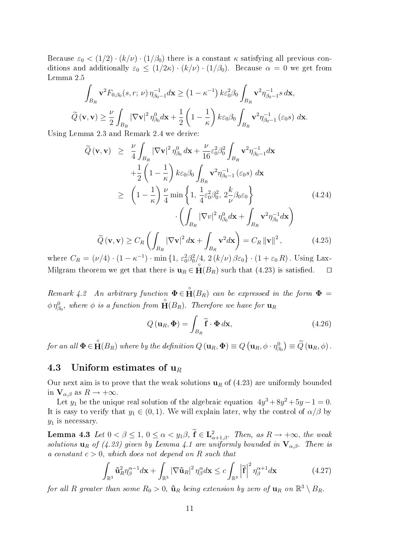Because  $\varepsilon_0 < (1/2) \cdot (k/\nu) \cdot (1/\beta_0)$  there is a constant  $\kappa$  satisfying all previous conditions and additionally  $\varepsilon_0 \leq (1/2\kappa) \cdot (k/\nu) \cdot (1/\beta_0)$ . Because  $\alpha = 0$  we get from Lemma 2.5

$$
\int_{B_R} \mathbf{v}^2 F_{0,\beta_0}(s,r;\nu) \,\eta_{\beta_0-1}^{-1} d\mathbf{x} \ge (1-\kappa^{-1}) \, k \varepsilon_0^2 \beta_0 \int_{B_R} \mathbf{v}^2 \eta_{\beta_0-1}^{-1} s \, d\mathbf{x},
$$
  

$$
\widetilde{Q}(\mathbf{v}, \mathbf{v}) \ge \frac{\nu}{2} \int_{B_R} |\nabla \mathbf{v}|^2 \,\eta_{\beta_0}^0 d\mathbf{x} + \frac{1}{2} \left(1 - \frac{1}{\kappa}\right) k \varepsilon_0 \beta_0 \int_{B_R} \mathbf{v}^2 \eta_{\beta_0-1}^{-1} (\varepsilon_0 s) \, d\mathbf{x}.
$$

Using Lemma 2.3 and Remark 2.4 we derive:

$$
\widetilde{Q}(\mathbf{v}, \mathbf{v}) \geq \frac{\nu}{4} \int_{B_R} |\nabla \mathbf{v}|^2 \eta_{\beta_0}^0 d\mathbf{x} + \frac{\nu}{16} \varepsilon_0^2 \beta_0^2 \int_{B_R} \mathbf{v}^2 \eta_{\beta_0 - 1}^{-1} d\mathbf{x}
$$
\n
$$
+ \frac{1}{2} \left( 1 - \frac{1}{\kappa} \right) k \varepsilon_0 \beta_0 \int_{B_R} \mathbf{v}^2 \eta_{\beta_0 - 1}^{-1} (\varepsilon_0 s) d\mathbf{x}
$$
\n
$$
\geq \left( 1 - \frac{1}{\kappa} \right) \frac{\nu}{4} \min \left\{ 1, \frac{1}{4} \varepsilon_0^2 \beta_0^2, 2 \frac{k}{\nu} \beta_0 \varepsilon_0 \right\}
$$
\n
$$
\cdot \left( \int_{B_R} |\nabla v|^2 \eta_{\beta_0}^0 d\mathbf{x} + \int_{B_R} \mathbf{v}^2 \eta_{\beta_0}^{-1} d\mathbf{x} \right)
$$
\n
$$
\widetilde{Q}(\mathbf{v}, \mathbf{v}) \geq C_R \left( \int_{B_R} |\nabla \mathbf{v}|^2 d\mathbf{x} + \int_{B_R} \mathbf{v}^2 d\mathbf{x} \right) = C_R ||\mathbf{v}||^2, \tag{4.25}
$$

where  $C_R = (\nu/4) \cdot (1 - \kappa^{-1}) \cdot \min\{1, \varepsilon_0^2 \beta_0^2/4, 2(k/\nu) \beta \varepsilon_0\} \cdot (1 + \varepsilon_0 R)$ . Using Lax-Milgram theorem we get that there is  $\mathbf{u}_R \in \mathbf{H}(B_R)$  such that (4.23) is satisfied.  $\square$ 

Remark 4.2 An arbitrary function  $\Phi \in \mathbf{H}(B_R)$  can be expressed in the form  $\Phi =$  $\phi\,\eta^0_{\beta_0},$  where  $\phi$  is a function from  $\check{\mathbf{H}}(B_R).$  Therefore we have for  $\mathbf{u}_R$ 

$$
Q(\mathbf{u}_R, \mathbf{\Phi}) = \int_{B_R} \widetilde{\mathbf{f}} \cdot \mathbf{\Phi} \, d\mathbf{x},\tag{4.26}
$$

for an all  $\pmb{\Phi} \in \mathring{\mathbf{H}}(B_R)$  where by the definition  $Q(\mathbf{u}_R, \pmb{\Phi}) \equiv Q\left(\mathbf{u}_R, \phi \cdot \eta_{\beta_0}^0\right) \equiv \widetilde{Q}\left(\mathbf{u}_R, \phi\right)$ .

### 4.3 Uniform estimates of  $u_R$

Our next aim is to prove that the weak solutions  $\mathbf{u}_R$  of (4.23) are uniformly bounded in  $V_{\alpha,\beta}$  as  $R \to +\infty$ .

Let  $y_1$  be the unique real solution of the algebraic equation  $4y^3 + 8y^2 + 5y - 1 = 0$ . It is easy to verify that  $y_1 \in (0, 1)$ . We will explain later, why the control of  $\alpha/\beta$  by  $y_1$  is necessary.

**Lemma 4.3** Let  $0 < \beta \leq 1$ ,  $0 \leq \alpha < y_1\beta$ ,  $f \in L^2_{\alpha+1,\beta}$ . Then, as  $R \to +\infty$ , the weak solutions  $\mathbf{u}_R$  of (4.23) given by Lemma 4.1 are uniformly bounded in  $\mathbf{V}_{\alpha,\beta}$ . There is a constant  $c > 0$ , which does not depend on R such that

$$
\int_{\mathbb{R}^3} \tilde{\mathbf{u}}_R^2 \eta_{\beta}^{\alpha-1} d\mathbf{x} + \int_{\mathbb{R}^3} |\nabla \tilde{\mathbf{u}}_R|^2 \eta_{\beta}^{\alpha} d\mathbf{x} \le c \int_{\mathbb{R}^3} \left| \tilde{\mathbf{f}} \right|^2 \eta_{\beta}^{\alpha+1} d\mathbf{x} \tag{4.27}
$$

for all R greater than some  $R_0 > 0$ ,  $\tilde{\bf u}_R$  being extension by zero of  ${\bf u}_R$  on  $\mathbb{R}^3 \setminus B_R$ .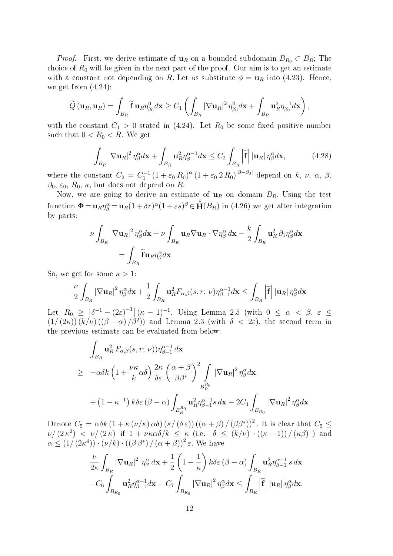*Proof.* First, we derive estimate of  $u_R$  on a bounded subdomain  $B_{R_0} \subset B_R$ ; The choice of  $R_0$  will be given in the next part of the proof. Our aim is to get an estimate with a constant not depending on R. Let us substitute  $\phi = \mathbf{u}_R$  into (4.23). Hence, we get from  $(4.24)$ :

$$
\widetilde{Q}(\mathbf{u}_R,\mathbf{u}_R)=\int_{B_R}\widetilde{\mathbf{f}}\,\mathbf{u}_R\eta_{\beta_0}^0d\mathbf{x}\geq C_1\left(\int_{B_R}\left|\nabla\mathbf{u}_R\right|^2\eta_{\beta_0}^0d\mathbf{x}+\int_{B_R}\mathbf{u}_R^2\eta_{\beta_0}^{-1}d\mathbf{x}\right),\,
$$

with the constant  $C_1 > 0$  stated in (4.24). Let  $R_0$  be some fixed positive number such that  $0 < R_0 < R$ . We get

$$
\int_{B_R} |\nabla \mathbf{u}_R|^2 \,\eta_\beta^\alpha d\mathbf{x} + \int_{B_R} \mathbf{u}_R^2 \eta_\beta^{\alpha-1} d\mathbf{x} \le C_2 \int_{B_R} \left| \widetilde{\mathbf{f}} \right| |\mathbf{u}_R| \,\eta_\beta^\alpha d\mathbf{x},\tag{4.28}
$$

where the constant  $C_2 = C_1^{-1} (1 + \varepsilon_0 R_0)^\alpha (1 + \varepsilon_0 2 R_0)^{|\beta - \beta_0|}$  depend on k, v,  $\alpha$ ,  $\beta$ ,  $\beta_0$ ,  $\varepsilon_0$ ,  $R_0$ ,  $\kappa$ , but does not depend on R.

Now, we are going to derive an estimate of  $\mathbf{u}_R$  on domain  $B_R$ . Using the test function  $\mathbf{\Phi} = \mathbf{u}_R \eta_{\beta}^{\alpha} = \mathbf{u}_R (1 + \delta r)^{\alpha} (1 + \varepsilon s)^{\beta} \in \mathbf{\hat{H}}(B_R)$  in (4.26) we get after integration by parts:

$$
\nu \int_{B_R} |\nabla \mathbf{u}_R|^2 \eta_{\beta}^{\alpha} d\mathbf{x} + \nu \int_{B_R} \mathbf{u}_R \nabla \mathbf{u}_R \cdot \nabla \eta_{\beta}^{\alpha} d\mathbf{x} - \frac{k}{2} \int_{B_R} \mathbf{u}_R^2 \partial_1 \eta_{\beta}^{\alpha} d\mathbf{x}
$$
  
= 
$$
\int_{B_R} \tilde{\mathbf{f}} \mathbf{u}_R \eta_{\beta}^{\alpha} d\mathbf{x}
$$

So, we get for some  $\kappa > 1$ :

$$
\frac{\nu}{2}\int_{B_R}\left|\nabla\mathbf{u}_R\right|^2\eta_{\beta}^{\alpha}d\mathbf{x}+\frac{1}{2}\int_{B_R}\mathbf{u}_R^2F_{\alpha,\beta}(s,r;\,\nu)\eta_{\beta-1}^{\alpha-1}d\mathbf{x}\leq\int_{B_R}\left|\widetilde{\mathbf{f}}\right|\left|\mathbf{u}_R\right|\eta_{\beta}^{\alpha}d\mathbf{x}
$$

Let  $R_0 \geq |\delta^{-1} - (2\varepsilon)^{-1}| (\kappa - 1)^{-1}$ . Using Lemma 2.5 (with  $0 \leq \alpha < \beta$ ,  $\varepsilon \leq$  $(1/(2\kappa))(k/\nu)((\beta-\alpha)/\beta^2)$  and Lemma 2.3 (with  $\delta < 2\varepsilon$ ), the second term in the previous estimate can be evaluated from below:

$$
\int_{B_R} \mathbf{u}_R^2 F_{\alpha,\beta}(s,r;\nu) \eta_{\beta-1}^{\alpha-1} d\mathbf{x} \n\geq -\alpha \delta k \left( 1 + \frac{\nu \kappa}{k} \alpha \delta \right) \frac{2\kappa}{\delta \varepsilon} \left( \frac{\alpha+\beta}{\beta \beta^*} \right)^2 \int_{B_R^{R_0}} |\nabla \mathbf{u}_R|^2 \eta_{\beta}^{\alpha} d\mathbf{x} \n+ \left( 1 - \kappa^{-1} \right) k \delta \varepsilon (\beta - \alpha) \int_{B_R^{R_0}} \mathbf{u}_R^2 \eta_{\beta-1}^{\alpha-1} s d\mathbf{x} - 2C_4 \int_{B_{R_0}} |\nabla \mathbf{u}_R|^2 \eta_{\beta}^{\alpha} d\mathbf{x}
$$

Denote  $C_5 = \alpha \delta k \left(1 + \kappa \left(\nu/\kappa\right) \alpha \delta\right) \left(\kappa/\left(\delta \varepsilon\right)\right) \left(\left(\alpha + \beta\right)/\left(\beta \beta^*\right)\right)^2$ . It is clear that  $C_5 \leq$  $\nu/(2\kappa^2) < \nu/(2\kappa)$  if  $1 + \nu \kappa \alpha \delta/k \leq \kappa$  (i.e.  $\delta \leq (k/\nu) \cdot ((\kappa - 1))/(\kappa \beta)$ ) and  $\alpha \leq (1/(2\kappa^4)) \cdot (\nu/k) \cdot ((\beta \beta^*)/(\alpha+\beta))^2 \varepsilon$ . We have

$$
\frac{\nu}{2\kappa} \int_{B_R} |\nabla \mathbf{u}_R|^2 \eta_\beta^\alpha d\mathbf{x} + \frac{1}{2} \left( 1 - \frac{1}{\kappa} \right) k \delta \varepsilon (\beta - \alpha) \int_{B_R} \mathbf{u}_R^2 \eta_{\beta - 1}^{\alpha - 1} s d\mathbf{x}
$$
  
-C<sub>6</sub>  $\int_{B_{R_0}} \mathbf{u}_R^2 \eta_{\beta - 1}^{\alpha - 1} d\mathbf{x} - C_7 \int_{B_{R_0}} |\nabla \mathbf{u}_R|^2 \eta_\beta^\alpha d\mathbf{x} \le \int_{B_R} |\tilde{\mathbf{f}}| |\mathbf{u}_R| \eta_\beta^\alpha d\mathbf{x}.$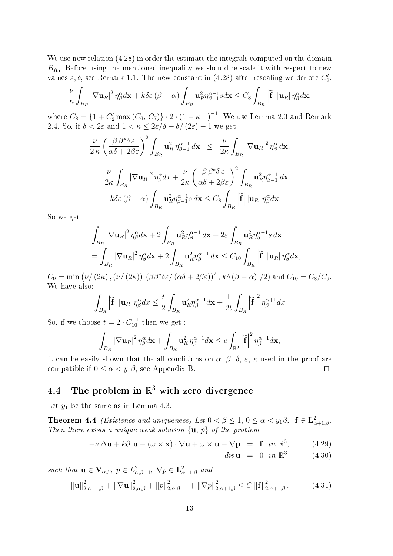We use now relation  $(4.28)$  in order the estimate the integrals computed on the domain  $B_{R_0}$ . Before using the mentioned inequality we should re-scale it with respect to new values  $\varepsilon, \delta$ , see Remark 1.1. The new constant in (4.28) after rescaling we denote  $C_2'$ .

$$
\frac{\nu}{\kappa} \int_{B_R} \left| \nabla \mathbf{u}_R \right|^2 \eta_{\beta}^{\alpha} d\mathbf{x} + k \delta \varepsilon \left( \beta - \alpha \right) \int_{B_R} \mathbf{u}_R^2 \eta_{\beta - 1}^{\alpha - 1} s d\mathbf{x} \leq C_8 \int_{B_R} \left| \widetilde{\mathbf{f}} \right| |\mathbf{u}_R| \eta_{\beta}^{\alpha} d\mathbf{x},
$$

where  $C_8 = \{1 + C_2' \max(C_6, C_7)\} \cdot 2 \cdot (1 - \kappa^{-1})^{-1}$ . We use Lemma 2.3 and Remark 2.4. So, if  $\delta < 2\varepsilon$  and  $1 < \kappa \leq 2\varepsilon/\delta + \delta/(2\varepsilon) - 1$  we get

$$
\frac{\nu}{2\kappa} \left(\frac{\beta \beta^* \delta \varepsilon}{\alpha \delta + 2\beta \varepsilon}\right)^2 \int_{B_R} \mathbf{u}_R^2 \, \eta_{\beta-1}^{\alpha-1} \, d\mathbf{x} \le \frac{\nu}{2\kappa} \int_{B_R} |\nabla \mathbf{u}_R|^2 \, \eta_{\beta}^{\alpha} \, d\mathbf{x},
$$
\n
$$
\frac{\nu}{2\kappa} \int_{B_R} |\nabla \mathbf{u}_R|^2 \, \eta_{\beta}^{\alpha} dx + \frac{\nu}{2\kappa} \left(\frac{\beta \beta^* \delta \varepsilon}{\alpha \delta + 2\beta \varepsilon}\right)^2 \int_{B_R} \mathbf{u}_R^2 \eta_{\beta-1}^{\alpha-1} \, d\mathbf{x}
$$
\n
$$
+ k \delta \varepsilon \left(\beta - \alpha\right) \int_{B_R} \mathbf{u}_R^2 \eta_{\beta-1}^{\alpha-1} s \, d\mathbf{x} \le C_8 \int_{B_R} \left| \tilde{\mathbf{f}} \right| |\mathbf{u}_R| \, \eta_{\beta}^{\alpha} d\mathbf{x}.
$$

So we get

$$
\int_{B_R} |\nabla \mathbf{u}_R|^2 \eta_{\beta}^{\alpha} d\mathbf{x} + 2 \int_{B_R} \mathbf{u}_R^2 \eta_{\beta-1}^{\alpha-1} d\mathbf{x} + 2\varepsilon \int_{B_R} \mathbf{u}_R^2 \eta_{\beta-1}^{\alpha-1} s \, d\mathbf{x}
$$
\n
$$
= \int_{B_R} |\nabla \mathbf{u}_R|^2 \eta_{\beta}^{\alpha} d\mathbf{x} + 2 \int_{B_R} \mathbf{u}_R^2 \eta_{\beta}^{\alpha-1} d\mathbf{x} \le C_{10} \int_{B_R} |\tilde{\mathbf{f}}| |\mathbf{u}_R| \eta_{\beta}^{\alpha} d\mathbf{x},
$$

 $C_9 = \min (\nu/(2\kappa),(\nu/(2\kappa)) \ (\beta\beta^*\delta\varepsilon/(\alpha\delta+2\beta\varepsilon))^2$ ,  $k\delta(\beta-\alpha)/2)$  and  $C_{10} = C_8/C_9$ . We have also:

$$
\int_{B_R} \left| \widetilde{\mathbf{f}} \right| \left| \mathbf{u}_R \right| \eta_{\beta}^{\alpha} dx \le \frac{t}{2} \int_{B_R} \mathbf{u}_R^2 \eta_{\beta}^{\alpha-1} d\mathbf{x} + \frac{1}{2t} \int_{B_R} \left| \widetilde{\mathbf{f}} \right|^2 \eta_{\beta}^{\alpha+1} dx
$$

So, if we choose  $t = 2 \cdot C_{10}^{-1}$  then we get :

$$
\int_{B_R} |\nabla \mathbf{u}_R|^2 \,\eta_{\beta}^{\alpha} d\mathbf{x} + \int_{B_R} \mathbf{u}_R^2 \,\eta_{\beta}^{\alpha-1} d\mathbf{x} \leq c \int_{\mathbb{R}^3} \left| \widetilde{\mathbf{f}} \right|^2 \eta_{\beta}^{\alpha+1} d\mathbf{x},
$$

It can be easily shown that the all conditions on  $\alpha$ ,  $\beta$ ,  $\delta$ ,  $\varepsilon$ ,  $\kappa$  used in the proof are compatible if  $0 \leq \alpha < y_1\beta$ , see Appendix B.

# 4.4 The problem in  $\mathbb{R}^3$  with zero divergence

Let  $y_1$  be the same as in Lemma 4.3.

**Theorem 4.4** *(Existence and uniqueness)* Let  $0 < \beta \leq 1$ ,  $0 \leq \alpha < y_1\beta$ ,  $f \in L^2_{\alpha+1,\beta}$ . Then there exists a unique weak solution  $\{u, p\}$  of the problem

$$
-\nu \Delta \mathbf{u} + k \partial_1 \mathbf{u} - (\omega \times \mathbf{x}) \cdot \nabla \mathbf{u} + \omega \times \mathbf{u} + \nabla \mathbf{p} = \mathbf{f} \quad in \ \mathbb{R}^3, \tag{4.29}
$$

$$
div\mathbf{u} = 0 \quad in \ \mathbb{R}^3 \tag{4.30}
$$

such that  $\mathbf{u} \in \mathbf{V}_{\alpha,\beta}, p \in L^2_{\alpha,\beta-1}, \nabla p \in \mathbf{L}^2_{\alpha+1,\beta}$  and

$$
\|\mathbf{u}\|_{2,\alpha-1,\beta}^{2} + \|\nabla \mathbf{u}\|_{2,\alpha,\beta}^{2} + \|p\|_{2,\alpha,\beta-1}^{2} + \|\nabla p\|_{2,\alpha+1,\beta}^{2} \le C \left\|\mathbf{f}\right\|_{2,\alpha+1,\beta}^{2}.
$$
 (4.31)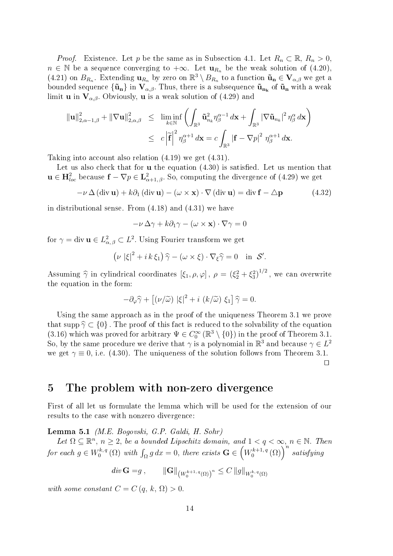*Proof.* Existence. Let p be the same as in Subsection 4.1. Let  $R_n \subset \mathbb{R}$ ,  $R_n > 0$ ,  $n \in \mathbb{N}$  be a sequence converging to  $+\infty$ . Let  $\mathbf{u}_{R_n}$  be the weak solution of  $(4.20)$ , (4.21) on  $B_{R_n}$ . Extending  $\mathbf{u}_{R_n}$  by zero on  $\mathbb{R}^3 \setminus B_{R_n}$  to a function  $\tilde{\mathbf{u}}_n \in \mathbf{V}_{\alpha,\beta}$  we get a bounded sequence  $\{\tilde{\bf u}_{\bf n}\}$  in  ${\bf V}_{\alpha,\beta}.$  Thus, there is a subsequence  $\tilde{\bf u}_{\bf n_{\bf k}}$  of  $\tilde{\bf u}_{\bf n}$  with a weak limit **u** in  $V_{\alpha,\beta}$ . Obviously, **u** is a weak solution of (4.29) and

$$
\|\mathbf{u}\|_{2,\alpha-1,\beta}^{2} + \|\nabla \mathbf{u}\|_{2,\alpha,\beta}^{2} \leq \liminf_{k \in \mathbb{N}} \left( \int_{\mathbb{R}^{3}} \tilde{\mathbf{u}}_{n_{k}}^{2} \eta_{\beta}^{\alpha-1} d\mathbf{x} + \int_{\mathbb{R}^{3}} |\nabla \tilde{\mathbf{u}}_{n_{k}}|^{2} \eta_{\beta}^{\alpha} d\mathbf{x} \right) \leq c \left| \tilde{\mathbf{f}} \right|^{2} \eta_{\beta}^{\alpha+1} d\mathbf{x} = c \int_{\mathbb{R}^{3}} |\mathbf{f} - \nabla p|^{2} \eta_{\beta}^{\alpha+1} d\mathbf{x}.
$$

Taking into account also relation (4.19) we get (4.31).

Let us also check that for  $\bf{u}$  the equation  $(4.30)$  is satisfied. Let us mention that  $\mathbf{u} \in \mathbf{H}_{loc}^2$  because  $\mathbf{f} - \nabla p \in \mathbf{L}_{\alpha+1,\beta}^2$ . So, computing the divergence of (4.29) we get

 $-\nu \Delta (\text{div } \mathbf{u}) + k\partial_1 (\text{div } \mathbf{u}) - (\omega \times \mathbf{x}) \cdot \nabla (\text{div } \mathbf{u}) = \text{div } \mathbf{f} - \Delta \mathbf{p}$  (4.32)

in distributional sense. From (4.18) and (4.31) we have

$$
-\nu \,\Delta \gamma + k \partial_1 \gamma - (\omega \times \mathbf{x}) \cdot \nabla \gamma = 0
$$

for  $\gamma = \text{div} \, \mathbf{u} \in L^2_{\alpha,\beta} \subset L^2$ . Using Fourier transform we get

$$
(\nu \,|\xi|^2 + i\,k\,\xi_1)\,\widehat{\gamma} - (\omega \times \xi) \cdot \nabla_{\xi}\widehat{\gamma} = 0 \quad \text{in} \ \mathcal{S}'.
$$

Assuming  $\hat{\gamma}$  in cylindrical coordinates  $[\xi_1, \rho, \varphi]$ ,  $\rho = (\xi_2^2 + \xi_3^2)^{1/2}$ , we can overwrite the equation in the form:

$$
-\partial_{\varphi}\widehat{\gamma} + [(\nu/\widetilde{\omega}) \, |\xi|^2 + i \, (k/\widetilde{\omega}) \, \xi_1] \widehat{\gamma} = 0.
$$

Using the same approach as in the proof of the uniqueness Theorem 3.1 we prove that supp  $\hat{\gamma} \subset \{0\}$ . The proof of this fact is reduced to the solvability of the equation (3.16) which was proved for arbitrary  $\Psi \in C_0^{\infty}(\mathbb{R}^3 \setminus \{0\})$  in the proof of Theorem 3.1. So, by the same procedure we derive that  $\gamma$  is a polynomial in  $\mathbb{R}^3$  and because  $\gamma \in L^2$ we get  $\gamma \equiv 0$ , i.e. (4.30). The uniqueness of the solution follows from Theorem 3.1.  $\Box$ 

## 5 The problem with non-zero divergence

First of all let us formulate the lemma which will be used for the extension of our results to the case with nonzero divergence:

Lemma 5.1 (M.E. Bogovski, G.P. Galdi, H. Sohr)

Let  $\Omega \subseteq \mathbb{R}^n$ ,  $n \geq 2$ , be a bounded Lipschitz domain, and  $1 < q < \infty$ ,  $n \in \mathbb{N}$ . Then for each  $g \in W_0^{k, q}$  $\int_0^{k,q} (\Omega) \text{ with } \int_{\Omega} g \, dx = 0, \text{ there exists } \mathbf{G} \in (W_0^{k+1,q})$  $\sigma_0^{k+1,\,q}\left(\Omega\right)\Bigr)^n \; satisfying$ 

$$
div \mathbf{G} = g , \qquad \|\mathbf{G}\|_{\left(W_0^{k+1,q}(\Omega)\right)^n} \leq C \|g\|_{W_0^{k,q}(\Omega)}
$$

with some constant  $C = C(q, k, \Omega) > 0$ .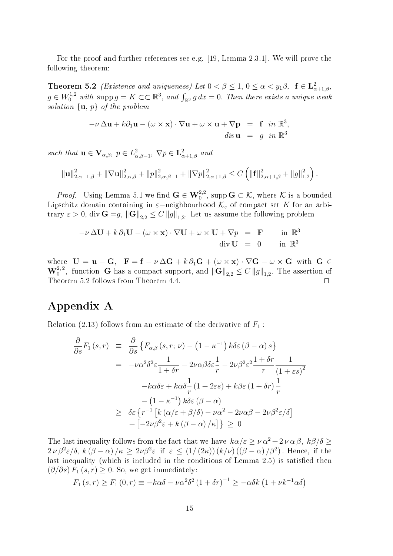For the proof and further references see e.g. [19, Lemma 2.3.1]. We will prove the following theorem:

**Theorem 5.2** *(Existence and uniqueness)* Let  $0 < \beta \leq 1$ ,  $0 \leq \alpha < y_1\beta$ ,  $f \in L^2_{\alpha+1,\beta}$ ,  $g \in W_0^{1,2}$  with supp  $g = K \subset\subset \mathbb{R}^3$ , and  $\int_{\mathbb{R}^3} g \, dx = 0$ . Then there exists a unique weak solution  $\{u, p\}$  of the problem

$$
-\nu \Delta \mathbf{u} + k \partial_1 \mathbf{u} - (\omega \times \mathbf{x}) \cdot \nabla \mathbf{u} + \omega \times \mathbf{u} + \nabla \mathbf{p} = \mathbf{f} \quad \text{in } \mathbb{R}^3,
$$
  
\n
$$
\text{div } \mathbf{u} = g \quad \text{in } \mathbb{R}^3
$$

such that  $\mathbf{u} \in \mathbf{V}_{\alpha,\beta}, p \in L^2_{\alpha,\beta-1}, \nabla p \in \mathbf{L}^2_{\alpha+1,\beta}$  and

$$
\|\mathbf{u}\|_{2,\alpha-1,\beta}^2 + \|\nabla \mathbf{u}\|_{2,\alpha,\beta}^2 + \|p\|_{2,\alpha,\beta-1}^2 + \|\nabla p\|_{2,\alpha+1,\beta}^2 \leq C \left( \|\mathbf{f}\|_{2,\alpha+1,\beta}^2 + \|g\|_{1,2}^2 \right).
$$

*Proof.* Using Lemma 5.1 we find  $\mathbf{G} \in \mathbf{W}^{2,2}_0$ , supp $\mathbf{G} \subset \mathcal{K}$ , where  $\mathcal K$  is a bounded Lipschitz domain containing in  $\varepsilon$ −neighbourhood  $\mathcal{K}_{\varepsilon}$  of compact set K for an arbitrary  $\varepsilon > 0$ , div  $\mathbf{G} = g$ ,  $\|\mathbf{G}\|_{2,2} \leq C \|g\|_{1,2}$ . Let us assume the following problem

$$
-\nu \Delta \mathbf{U} + k \partial_1 \mathbf{U} - (\omega \times \mathbf{x}) \cdot \nabla \mathbf{U} + \omega \times \mathbf{U} + \nabla p = \mathbf{F} \quad \text{in } \mathbb{R}^3
$$
  
div  $\mathbf{U} = 0$  in  $\mathbb{R}^3$ 

where  $\mathbf{U} = \mathbf{u} + \mathbf{G}, \quad \mathbf{F} = \mathbf{f} - \nu \Delta \mathbf{G} + k \partial_1 \mathbf{G} + (\omega \times \mathbf{x}) \cdot \nabla \mathbf{G} - \omega \times \mathbf{G}$  with  $\mathbf{G} \in$  $\mathbf{W}^{2,2}_0$ , function G has a compact support, and  $\|\mathbf{G}\|_{2,2} \leq C \|g\|_{1,2}$ . The assertion of Theorem 5.2 follows from Theorem 4.4.  $\Box$ 

## Appendix A

Relation (2.13) follows from an estimate of the derivative of  $F_1$ :

$$
\frac{\partial}{\partial s} F_1(s,r) \equiv \frac{\partial}{\partial s} \left\{ F_{\alpha,\beta}(s,r;\nu) - (1 - \kappa^{-1}) k \delta \varepsilon (\beta - \alpha) s \right\}
$$
  
\n
$$
= -\nu \alpha^2 \delta^2 \varepsilon \frac{1}{1 + \delta r} - 2\nu \alpha \beta \delta \varepsilon \frac{1}{r} - 2\nu \beta^2 \varepsilon^2 \frac{1 + \delta r}{r} \frac{1}{(1 + \varepsilon s)^2}
$$
  
\n
$$
-k\alpha \delta \varepsilon + k\alpha \delta \frac{1}{r} (1 + 2\varepsilon s) + k\beta \varepsilon (1 + \delta r) \frac{1}{r}
$$
  
\n
$$
- (1 - \kappa^{-1}) k\delta \varepsilon (\beta - \alpha)
$$
  
\n
$$
\geq \delta \varepsilon \left\{ r^{-1} \left[ k(\alpha/\varepsilon + \beta/\delta) - \nu \alpha^2 - 2\nu \alpha \beta - 2\nu \beta^2 \varepsilon/\delta \right] + [-2\nu \beta^2 \varepsilon + k(\beta - \alpha)/\kappa] \right\} \geq 0
$$

The last inequality follows from the fact that we have  $k\alpha/\varepsilon \geq \nu \alpha^2 + 2 \nu \alpha \beta$ ,  $k\beta/\delta \geq$  $2 \nu \beta^2 \varepsilon / \delta$ ,  $k (\beta - \alpha) / \kappa \geq 2 \nu \beta^2 \varepsilon$  if  $\varepsilon \leq (1/(2 \kappa)) (k/\nu) ((\beta - \alpha) / \beta^2)$ . Hence, if the last inequality (which is included in the conditions of Lemma 2.5) is satisfied then  $(\partial/\partial s) F_1(s,r) \geq 0$ . So, we get immediately:

$$
F_1(s,r) \ge F_1(0,r) \equiv -k\alpha\delta - \nu\alpha^2\delta^2 \left(1 + \delta r\right)^{-1} \ge -\alpha\delta k \left(1 + \nu k^{-1}\alpha\delta\right)
$$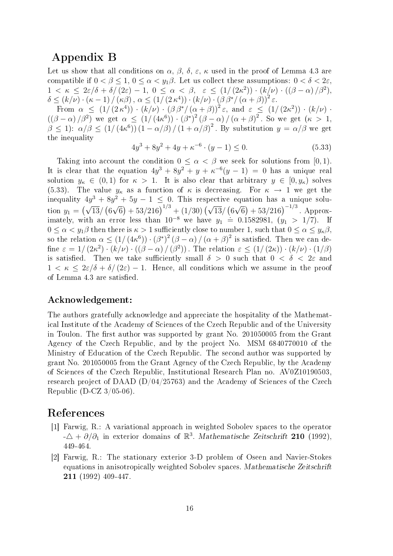## Appendix B

Let us show that all conditions on  $\alpha$ ,  $\beta$ ,  $\delta$ ,  $\varepsilon$ ,  $\kappa$  used in the proof of Lemma 4.3 are compatible if  $0 < \beta < 1$ ,  $0 < \alpha < y_1\beta$ . Let us collect these assumptions:  $0 < \delta < 2\varepsilon$ .  $1 < \kappa \leq 2\varepsilon/\delta + \delta/(2\varepsilon) - 1, 0 \leq \alpha < \beta, \varepsilon \leq (1/(2\kappa^2)) \cdot (k/\nu) \cdot ((\beta - \alpha)/\beta^2),$  $\delta \leq (k/\nu) \cdot (\kappa - 1) / (\kappa \beta), \ \alpha \leq (1/ (2 \kappa^4)) \cdot (k/\nu) \cdot (\beta \beta^* / (\alpha + \beta))^2 \varepsilon.$ 

From  $\alpha \leq (1/(2\kappa^4)) \cdot (k/\nu) \cdot (\beta \beta^*/(\alpha+\beta))^2 \varepsilon$ , and  $\varepsilon \leq (1/(2\kappa^2)) \cdot (k/\nu)$ .  $((\beta-\alpha)/\beta^2)$  we get  $\alpha \leq (1/(4\kappa^6)) \cdot (\beta^*)^2 (\beta-\alpha)/(\alpha+\beta)^2$ . So we get  $(\kappa > 1,$  $\beta \leq 1$ :  $\alpha/\beta \leq (1/(4\kappa^6))(1-\alpha/\beta)/(1+\alpha/\beta)^2$ . By substitution  $y = \alpha/\beta$  we get the inequality

$$
4y^3 + 8y^2 + 4y + \kappa^{-6} \cdot (y - 1) \le 0. \tag{5.33}
$$

Taking into account the condition  $0 \leq \alpha < \beta$  we seek for solutions from [0, 1]. It is clear that the equation  $4y^3 + 8y^2 + y + \kappa^{-6}(y-1) = 0$  has a unique real solution  $y_{\kappa} \in (0,1)$  for  $\kappa > 1$ . It is also clear that arbitrary  $y \in [0, y_{\kappa})$  solves (5.33). The value  $y_{\kappa}$  as a function of  $\kappa$  is decreasing. For  $\kappa \to 1$  we get the inequality  $4y^3 + 8y^2 + 5y - 1 \le 0$ . This respective equation has a unique solution  $y_1 = (\sqrt{13}/6)$ √  $\frac{6}{6}$  + 53/216)<sup>1/3</sup> + (1/30) ( $\sqrt{13}$ / (6) √  $\sqrt{6}$ ) + 53/216)<sup>-1/3</sup>. Approximately, with an error less than  $10^{-8}$  we have  $y_1 = 0.1582981$ ,  $(y_1 > 1/7)$ . If  $0 \leq \alpha < y_1\beta$  then there is  $\kappa > 1$  sufficiently close to number 1, such that  $0 \leq \alpha \leq y_\kappa\beta$ , so the relation  $\alpha \leq (1/(4\kappa^6)) \cdot (\beta^*)^2 (\beta - \alpha) / (\alpha + \beta)^2$  is satisfied. Then we can define  $\varepsilon = 1/(2\kappa^2) \cdot (k/\nu) \cdot ((\beta - \alpha) / (\beta^2))$ . The relation  $\varepsilon \leq (1/(2\kappa)) \cdot (k/\nu) \cdot (1/\beta)$ is satisfied. Then we take sufficiently small  $\delta > 0$  such that  $0 < \delta < 2\varepsilon$  and  $1 < \kappa < 2\varepsilon/\delta + \delta/(2\varepsilon) - 1$ . Hence, all conditions which we assume in the proof of Lemma 4.3 are satisfied.

### Acknowledgement:

The authors gratefully acknowledge and appreciate the hospitality of the Mathematical Institute of the Academy of Sciences of the Czech Republic and of the University in Toulon. The first author was supported by grant No. 201050005 from the Grant Agency of the Czech Republic, and by the project No. MSM 6840770010 of the Ministry of Education of the Czech Republic. The second author was supported by grant No. 201050005 from the Grant Agency of the Czech Republic, by the Academy of Sciences of the Czech Republic, Institutional Research Plan no. AV0Z10190503, research project of DAAD  $(D/04/25763)$  and the Academy of Sciences of the Czech Republic (D-CZ 3/05-06).

### References

- [1] Farwig, R.: A variational approach in weighted Sobolev spaces to the operator  $-\Delta + \partial/\partial_1$  in exterior domains of  $\mathbb{R}^3$ . Mathematische Zeitschrift 210 (1992), 449-464.
- [2] Farwig, R.: The stationary exterior 3-D problem of Oseen and Navier-Stokes equations in anisotropically weighted Sobolev spaces. Mathematische Zeitschrift 211 (1992) 409-447.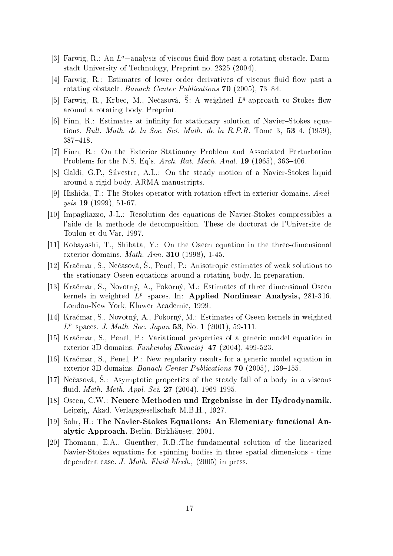- [3] Farwig, R.: An  $L^q$ -analysis of viscous fluid flow past a rotating obstacle. Darmstadt University of Technology, Preprint no. 2325 (2004).
- [4] Farwig, R.: Estimates of lower order derivatives of viscous fluid flow past a rotating obstacle. Banach Center Publications 70 (2005), 73-84.
- [5] Farwig, R., Krbec, M., Nečasová, Š: A weighted  $L<sup>q</sup>$ -approach to Stokes flow around a rotating body. Preprint.
- [6] Finn, R.: Estimates at infinity for stationary solution of Navier-Stokes equations. Bult. Math. de la Soc. Sci. Math. de la R.P.R. Tome 3,  $53$  4. (1959). 387418.
- [7] Finn, R.: On the Exterior Stationary Problem and Associated Perturbation Problems for the N.S. Eq's. Arch. Rat. Mech. Anal.  $19$  (1965), 363-406.
- [8] Galdi, G.P., Silvestre, A.L.: On the steady motion of a Navier-Stokes liquid around a rigid body. ARMA manuscripts.
- [9] Hishida, T.: The Stokes operator with rotation effect in exterior domains. Analysis 19 (1999), 51-67.
- [10] Impagliazzo, J-L.: Resolution des equations de Navier-Stokes compressibles a l'aide de la methode de decomposition. These de doctorat de l'Universite de Toulon et du Var, 1997.
- [11] Kobayashi, T., Shibata, Y.: On the Oseen equation in the three-dimensional exterior domains. Math. Ann. 310 (1998), 1-45.
- [12] Kračmar, S., Nečasová, Š., Penel, P.: Anisotropic estimates of weak solutions to the stationary Oseen equations around a rotating body. In preparation.
- [13] Kra£mar, S., Novotný, A., Pokorný, M.: Estimates of three dimensional Oseen kernels in weighted  $L^p$  spaces. In: Applied Nonlinear Analysis, 281-316. London-New York, Kluwer Academic, 1999.
- [14] Kra£mar, S., Novotný, A., Pokorný, M.: Estimates of Oseen kernels in weighted  $L^p$  spaces. J. Math. Soc. Japan 53, No. 1 (2001), 59-111.
- [15] Kra£mar, S., Penel, P.: Variational properties of a generic model equation in exterior 3D domains. Funkcialaj Ekvacioj 47 (2004), 499-523.
- [16] Kra£mar, S., Penel, P.: New regularity results for a generic model equation in exterior 3D domains. Banach Center Publications  $70$  (2005), 139-155.
- [17] Nečasová, S.: Asymptotic properties of the steady fall of a body in a viscous fluid. Math. Meth. Appl. Sci. 27 (2004), 1969-1995.
- [18] Oseen, C.W.: Neuere Methoden und Ergebnisse in der Hydrodynamik. Leipzig, Akad. Verlagsgesellschaft M.B.H., 1927.
- [19] Sohr, H.: The Navier-Stokes Equations: An Elementary functional Analytic Approach. Berlin. Birkhäuser, 2001.
- [20] Thomann, E.A., Guenther, R.B.:The fundamental solution of the linearized Navier-Stokes equations for spinning bodies in three spatial dimensions - time dependent case. J. Math. Fluid Mech., (2005) in press.